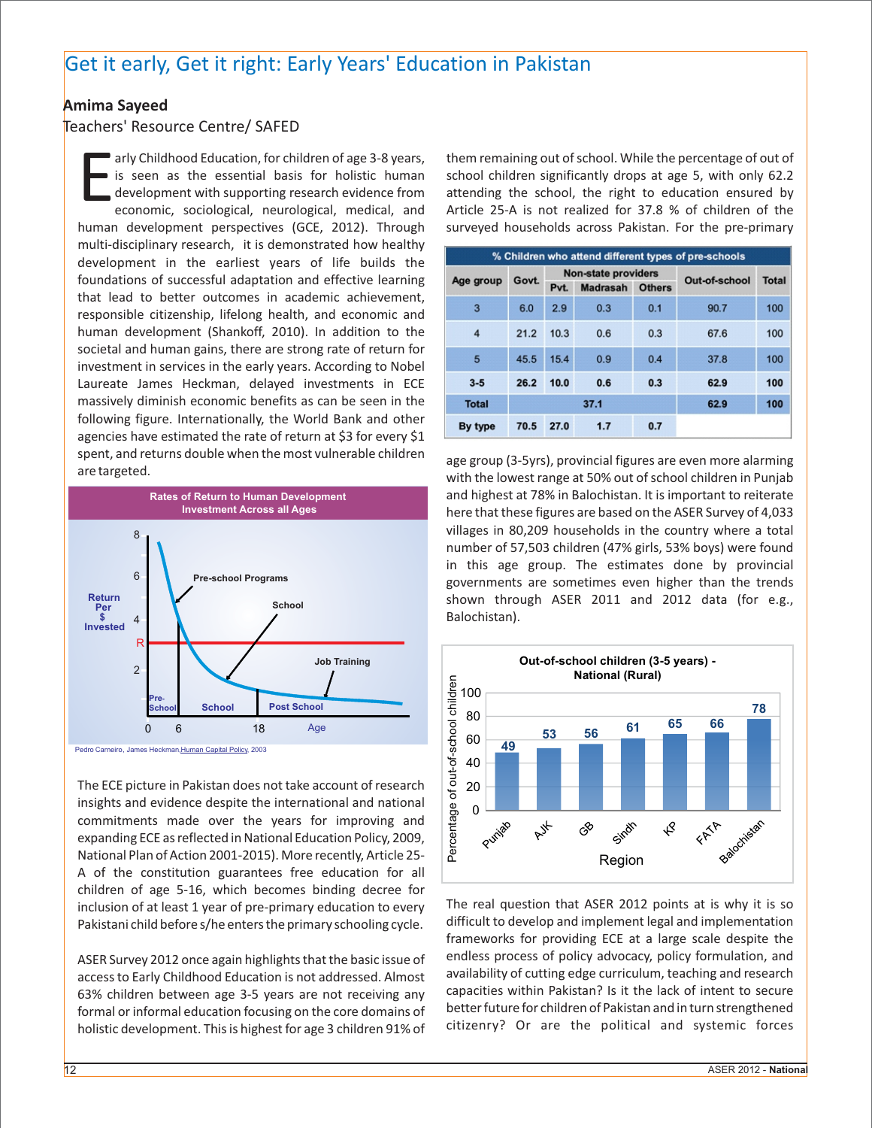## Get it early, Get it right: Early Years' Education in Pakistan

## **Amima Sayeed**

## Teachers' Resource Centre/ SAFED

is seen as the essential basis for holistic human is school. While the percentage of out of is seen as the essential basis for holistic human school children significantly drops at age 5, with only 62.2 attending the schoo human development perspectives (GCE, 2012). Through surveyed households across Pakistan. For the pre-primary multi-disciplinary research, it is demonstrated how healthy development in the earliest years of life builds the foundations of successful adaptation and effective learning that lead to better outcomes in academic achievement, responsible citizenship, lifelong health, and economic and human development (Shankoff, 2010). In addition to the societal and human gains, there are strong rate of return for investment in services in the early years. According to Nobel Laureate James Heckman, delayed investments in ECE massively diminish economic benefits as can be seen in the following figure. Internationally, the World Bank and other agencies have estimated the rate of return at \$3 for every \$1 spent, and returns double when the most vulnerable children



The ECE picture in Pakistan does not take account of research insights and evidence despite the international and national commitments made over the years for improving and expanding ECE as reflected in National Education Policy, 2009, National Plan of Action 2001-2015). More recently, Article 25- A of the constitution guarantees free education for all children of age 5-16, which becomes binding decree for inclusion of at least 1 year of pre-primary education to every The real question that ASER 2012 points at is why it is so inclusion that ASER 2012 points at is why it is so inclusion pre-Pakistani child before s/he enters the primary schooling cycle.

formal or informal education focusing on the core domains of holistic development. This is highest for age 3 children 91% of citizenry? Or are the political and systemic forces

arly Childhood Education, for children of age 3-8 years, them remaining out of school. While the percentage of out of economic, sociological, neurological, medical, and Article 25-A is not realized for 37.8 % of children of the

| % Children who attend different types of pre-schools |       |                                                                        |     |     |               |              |
|------------------------------------------------------|-------|------------------------------------------------------------------------|-----|-----|---------------|--------------|
| Age group                                            | Govt. | <b>Non-state providers</b><br><b>Madrasah</b><br><b>Others</b><br>Pvt. |     |     | Out-of-school | <b>Total</b> |
|                                                      |       |                                                                        |     |     |               |              |
| 3                                                    | 6.0   | 2.9                                                                    | 0.3 | 0.1 | 90.7          | 100          |
| $\overline{4}$                                       | 21.2  | 10.3                                                                   | 0.6 | 0.3 | 67.6          | 100          |
| 5                                                    | 45.5  | 15.4                                                                   | 0.9 | 0.4 | 37.8          | 100          |
| $3 - 5$                                              | 26.2  | 10.0                                                                   | 0.6 | 0.3 | 62.9          | 100          |
| <b>Total</b>                                         | 37.1  |                                                                        |     |     | 62.9          | 100          |
| By type                                              | 70.5  | 27.0                                                                   | 1.7 | 0.7 |               |              |

age group (3-5yrs), provincial figures are even more alarming are targeted.<br>with the lowest range at 50% out of school children in Punjab and highest at 78% in Balochistan. It is important to reiterate here that these figures are based on the ASER Survey of 4,033 villages in 80,209 households in the country where a total number of 57,503 children (47% girls, 53% boys) were found in this age group. The estimates done by provincial governments are sometimes even higher than the trends shown through ASER 2011 and 2012 data (for e.g., Balochistan).



frameworks for providing ECE at a large scale despite the ASER Survey 2012 once again highlights that the basic issue of endless process of policy advocacy, policy formulation, and<br>Surveys to Early Childhood Education is not addressed. Almost availability of cutting edge curricul access to Early Childhood Education is not addressed. Almost availability of cutting edge curriculum, teaching and research accure<br>63% children between age 3-5 vears are not receiving any capacities within Pakistan? Is it 63% children between age 3-5 years are not receiving any capacities within Pakistan? Is it the lack of intent to secure<br>formal or informal education focusing on the core domains of better future for children of Pakistan an